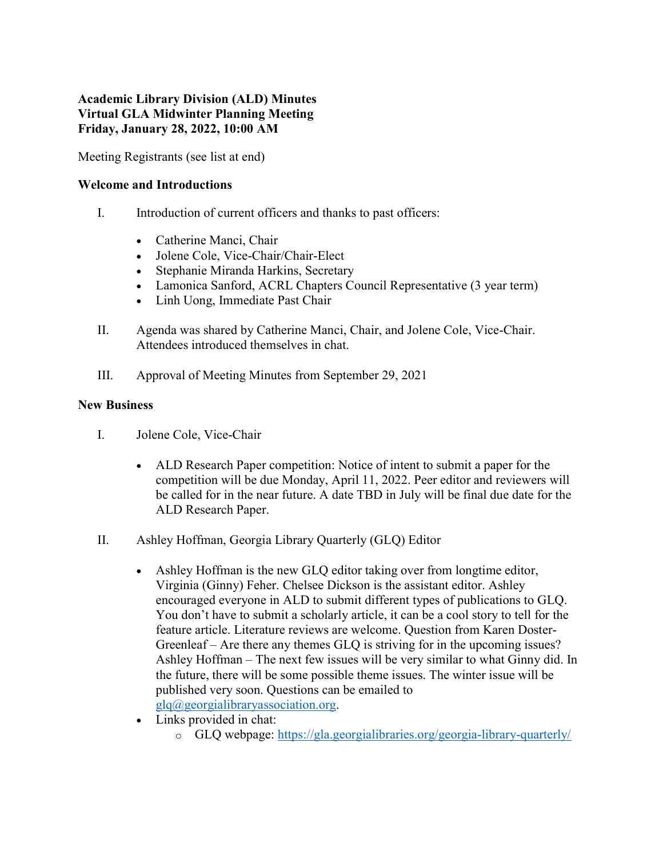# Academic Library Division (ALD) Minutes Virtual GLA Midwinter Planning Meeting Friday, January 28, 2022, 10:00 AM

Meeting Registrants (see list at end)

### Welcome and Introductions

- I. Introduction of current officers and thanks to past officers:
	- Catherine Manci, Chair
	- Jolene Cole, Vice-Chair/Chair-Elect
	- Stephanie Miranda Harkins, Secretary
	- Lamonica Sanford, ACRL Chapters Council Representative (3 year term)
	- Linh Uong, Immediate Past Chair
- II. Agenda was shared by Catherine Manci, Chair, and Jolene Cole, Vice-Chair. Attendees introduced themselves in chat.
- III. Approval of Meeting Minutes from September 29, 2021

### New Business

- I. Jolene Cole, Vice-Chair
	- ALD Research Paper competition: Notice of intent to submit a paper for the competition will be due Monday, April 11, 2022. Peer editor and reviewers will be called for in the near future. A date TBD in July will be final due date for the ALD Research Paper.
- II. Ashley Hoffman, Georgia Library Quarterly (GLQ) Editor
	- Ashley Hoffman is the new GLQ editor taking over from longtime editor, Virginia (Ginny) Feher. Chelsee Dickson is the assistant editor. Ashley encouraged everyone in ALD to submit different types of publications to GLQ. You don't have to submit a scholarly article, it can be a cool story to tell for the feature article. Literature reviews are welcome. Question from Karen Doster-Greenleaf – Are there any themes GLQ is striving for in the upcoming issues? Ashley Hoffman – The next few issues will be very similar to what Ginny did. In the future, there will be some possible theme issues. The winter issue will be published very soon. Questions can be emailed to glq@georgialibraryassociation.org.
	- Links provided in chat:
		- o GLQ webpage: https://gla.georgialibraries.org/georgia-library-quarterly/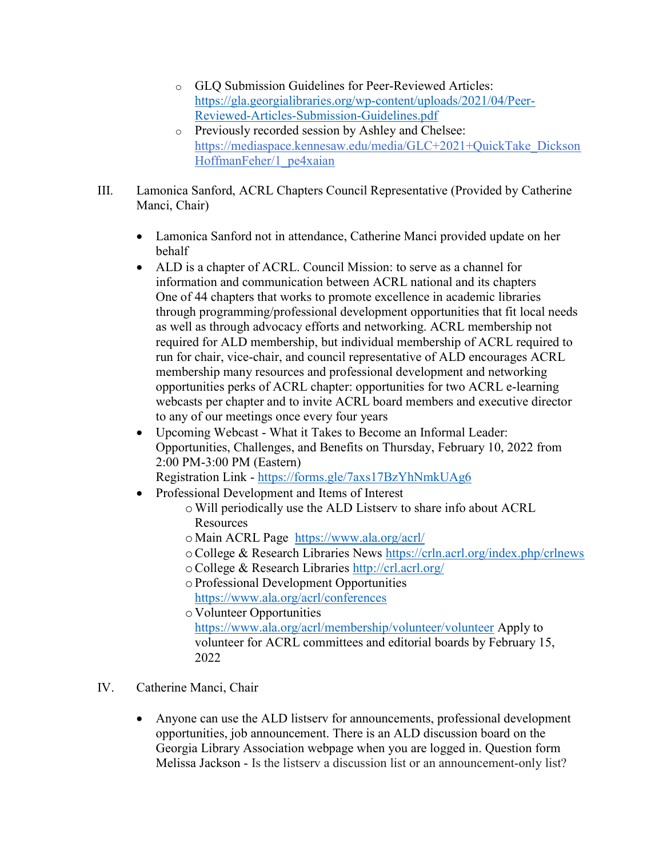- o GLQ Submission Guidelines for Peer-Reviewed Articles: https://gla.georgialibraries.org/wp-content/uploads/2021/04/Peer-Reviewed-Articles-Submission-Guidelines.pdf
- o Previously recorded session by Ashley and Chelsee: https://mediaspace.kennesaw.edu/media/GLC+2021+QuickTake\_Dickson HoffmanFeher/1\_pe4xaian
- III. Lamonica Sanford, ACRL Chapters Council Representative (Provided by Catherine Manci, Chair)
	- Lamonica Sanford not in attendance, Catherine Manci provided update on her behalf
	- ALD is a chapter of ACRL. Council Mission: to serve as a channel for information and communication between ACRL national and its chapters One of 44 chapters that works to promote excellence in academic libraries through programming/professional development opportunities that fit local needs as well as through advocacy efforts and networking. ACRL membership not required for ALD membership, but individual membership of ACRL required to run for chair, vice-chair, and council representative of ALD encourages ACRL membership many resources and professional development and networking opportunities perks of ACRL chapter: opportunities for two ACRL e-learning webcasts per chapter and to invite ACRL board members and executive director to any of our meetings once every four years
	- Upcoming Webcast What it Takes to Become an Informal Leader: Opportunities, Challenges, and Benefits on Thursday, February 10, 2022 from 2:00 PM-3:00 PM (Eastern)

Registration Link - https://forms.gle/7axs17BzYhNmkUAg6

- Professional Development and Items of Interest
	- oWill periodically use the ALD Listserv to share info about ACRL Resources
	- o Main ACRL Page https://www.ala.org/acrl/
	- oCollege & Research Libraries News https://crln.acrl.org/index.php/crlnews
	- oCollege & Research Libraries http://crl.acrl.org/
	- o Professional Development Opportunities https://www.ala.org/acrl/conferences

o Volunteer Opportunities https://www.ala.org/acrl/membership/volunteer/volunteer Apply to volunteer for ACRL committees and editorial boards by February 15, 2022

- IV. Catherine Manci, Chair
	- Anyone can use the ALD listserv for announcements, professional development opportunities, job announcement. There is an ALD discussion board on the Georgia Library Association webpage when you are logged in. Question form Melissa Jackson - Is the listserv a discussion list or an announcement-only list?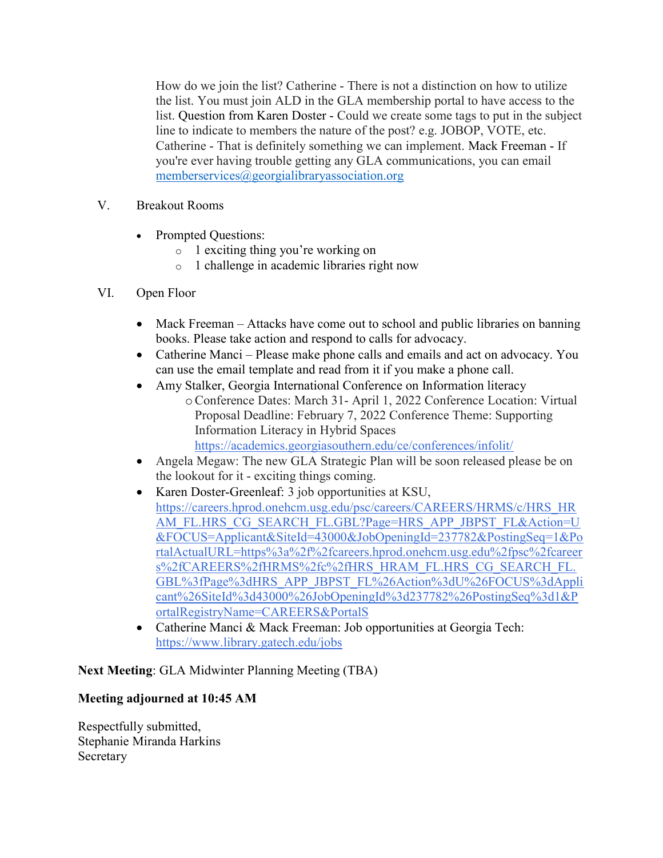How do we join the list? Catherine - There is not a distinction on how to utilize the list. You must join ALD in the GLA membership portal to have access to the list. Question from Karen Doster - Could we create some tags to put in the subject line to indicate to members the nature of the post? e.g. JOBOP, VOTE, etc. Catherine - That is definitely something we can implement. Mack Freeman - If you're ever having trouble getting any GLA communications, you can email memberservices@georgialibraryassociation.org

- V. Breakout Rooms
	- Prompted Questions:
		- o 1 exciting thing you're working on
		- o 1 challenge in academic libraries right now

# VI. Open Floor

- Mack Freeman Attacks have come out to school and public libraries on banning books. Please take action and respond to calls for advocacy.
- Catherine Manci Please make phone calls and emails and act on advocacy. You can use the email template and read from it if you make a phone call.
- Amy Stalker, Georgia International Conference on Information literacy oConference Dates: March 31- April 1, 2022 Conference Location: Virtual Proposal Deadline: February 7, 2022 Conference Theme: Supporting Information Literacy in Hybrid Spaces https://academics.georgiasouthern.edu/ce/conferences/infolit/
- Angela Megaw: The new GLA Strategic Plan will be soon released please be on the lookout for it - exciting things coming.
- Karen Doster-Greenleaf: 3 job opportunities at KSU, https://careers.hprod.onehcm.usg.edu/psc/careers/CAREERS/HRMS/c/HRS\_HR AM\_FL.HRS\_CG\_SEARCH\_FL.GBL?Page=HRS\_APP\_JBPST\_FL&Action=U &FOCUS=Applicant&SiteId=43000&JobOpeningId=237782&PostingSeq=1&Po rtalActualURL=https%3a%2f%2fcareers.hprod.onehcm.usg.edu%2fpsc%2fcareer s%2fCAREERS%2fHRMS%2fc%2fHRS\_HRAM\_FL.HRS\_CG\_SEARCH\_FL. GBL%3fPage%3dHRS\_APP\_JBPST\_FL%26Action%3dU%26FOCUS%3dAppli cant%26SiteId%3d43000%26JobOpeningId%3d237782%26PostingSeq%3d1&P ortalRegistryName=CAREERS&PortalS
- Catherine Manci & Mack Freeman: Job opportunities at Georgia Tech: https://www.library.gatech.edu/jobs

Next Meeting: GLA Midwinter Planning Meeting (TBA)

# Meeting adjourned at 10:45 AM

Respectfully submitted, Stephanie Miranda Harkins Secretary